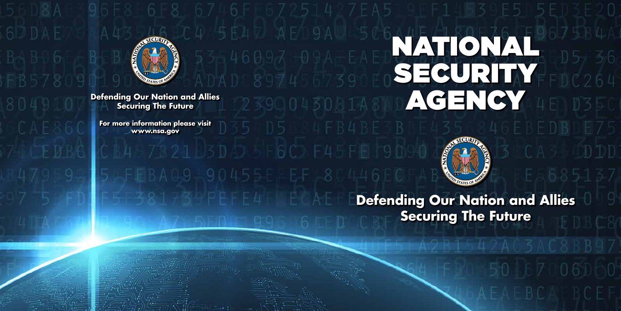# NATIONAL SECURITY



**Defending Our Nation and Allies<br>Securing The Future ACENCY III Securing The Future**

**For more information please visit www.nsa.gov**



**Defending Our Nation and Allies Securing The Future**